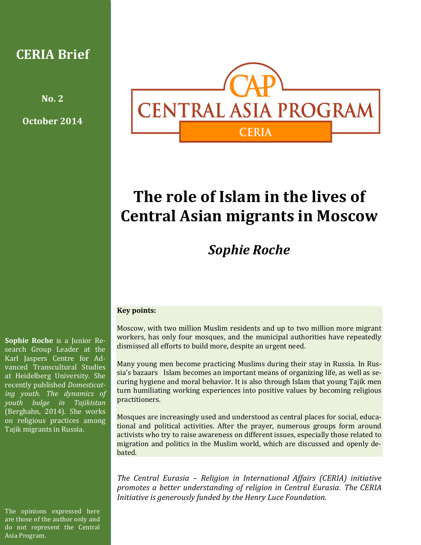### **CERIA Brief**

**No. 2**

**October 2014**



# **The role of Islam in the lives of Central Asian migrants in Moscow**

## *Sophie Roche*

#### **Key points:**

Moscow, with two million Muslim residents and up to two million more migrant workers, has only four mosques, and the municipal authorities have repeatedly dismissed all efforts to build more, despite an urgent need.

Many young men become practicing Muslims during their stay in Russia. In Russia's bazaars Islam becomes an important means of organizing life, as well as securing hygiene and moral behavior. It is also through Islam that young Tajik men turn humiliating working experiences into positive values by becoming religious practitioners.

Mosques are increasingly used and understood as central places for social, educational and political activities. After the prayer, numerous groups form around activists who try to raise awareness on different issues, especially those related to migration and politics in the Muslim world, which are discussed and openly debated.

*The Central Eurasia – Religion in International Affairs (CERIA) initiative promotes a better understanding of religion in Central Eurasia. The CERIA Initiative is generously funded by the Henry Luce Foundation.*

**Sophie Roche** is a Junior Research Group Leader at the Karl Jaspers Centre for Advanced Transcultural Studies at Heidelberg University. She recently published *Domesticating youth. The dynamics of youth bulge in Tajikistan* (Berghahn, 2014). She works on religious practices among Tajik migrants in Russia.

The opinions expressed here are those of the author only and do not represent the Central Asia Program.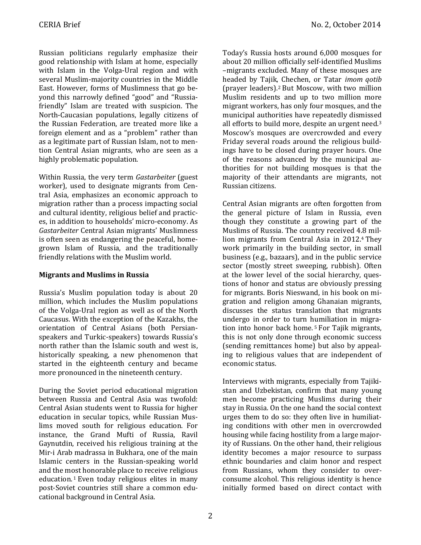Russian politicians regularly emphasize their good relationship with Islam at home, especially with Islam in the Volga-Ural region and with several Muslim-majority countries in the Middle East. However, forms of Muslimness that go beyond this narrowly defined "good" and "Russiafriendly" Islam are treated with suspicion. The North-Caucasian populations, legally citizens of the Russian Federation, are treated more like a foreign element and as a "problem" rather than as a legitimate part of Russian Islam, not to mention Central Asian migrants, who are seen as a highly problematic population.

Within Russia, the very term *Gastarbeiter* (guest worker), used to designate migrants from Central Asia, emphasizes an economic approach to migration rather than a process impacting social and cultural identity, religious belief and practices, in addition to households' micro-economy. As *Gastarbeiter* Central Asian migrants' Muslimness is often seen as endangering the peaceful, homegrown Islam of Russia, and the traditionally friendly relations with the Muslim world.

#### **Migrants and Muslims in Russia**

Russia's Muslim population today is about 20 million, which includes the Muslim populations of the Volga-Ural region as well as of the North Caucasus. With the exception of the Kazakhs, the orientation of Central Asians (both Persianspeakers and Turkic-speakers) towards Russia's north rather than the Islamic south and west is, historically speaking, a new phenomenon that started in the eighteenth century and became more pronounced in the nineteenth century.

During the Soviet period educational migration between Russia and Central Asia was twofold: Central Asian students went to Russia for higher education in secular topics, while Russian Muslims moved south for religious education. For instance, the Grand Mufti of Russia, Ravil Gaynutdin, received his religious training at the Mir-i Arab madrassa in Bukhara, one of the main Islamic centers in the Russian-speaking world and the most honorable place to receive religious education. <sup>1</sup> Even today religious elites in many post-Soviet countries still share a common educational background in Central Asia.

Today's Russia hosts around 6,000 mosques for about 20 million officially self-identified Muslims –migrants excluded. Many of these mosques are headed by Tajik, Chechen, or Tatar *imom qotib* (prayer leaders).<sup>2</sup> But Moscow, with two million Muslim residents and up to two million more migrant workers, has only four mosques, and the municipal authorities have repeatedly dismissed all efforts to build more, despite an urgent need.<sup>3</sup> Moscow's mosques are overcrowded and every Friday several roads around the religious buildings have to be closed during prayer hours. One of the reasons advanced by the municipal authorities for not building mosques is that the majority of their attendants are migrants, not Russian citizens.

Central Asian migrants are often forgotten from the general picture of Islam in Russia, even though they constitute a growing part of the Muslims of Russia. The country received 4.8 million migrants from Central Asia in 2012.<sup>4</sup> They work primarily in the building sector, in small business (e.g., bazaars), and in the public service sector (mostly street sweeping, rubbish). Often at the lower level of the social hierarchy, questions of honor and status are obviously pressing for migrants. Boris Nieswand, in his book on migration and religion among Ghanaian migrants, discusses the status translation that migrants undergo in order to turn humiliation in migration into honor back home. <sup>5</sup> For Tajik migrants, this is not only done through economic success (sending remittances home) but also by appealing to religious values that are independent of economic status.

Interviews with migrants, especially from Tajikistan and Uzbekistan, confirm that many young men become practicing Muslims during their stay in Russia. On the one hand the social context urges them to do so: they often live in humiliating conditions with other men in overcrowded housing while facing hostility from a large majority of Russians. On the other hand, their religious identity becomes a major resource to surpass ethnic boundaries and claim honor and respect from Russians, whom they consider to overconsume alcohol. This religious identity is hence initially formed based on direct contact with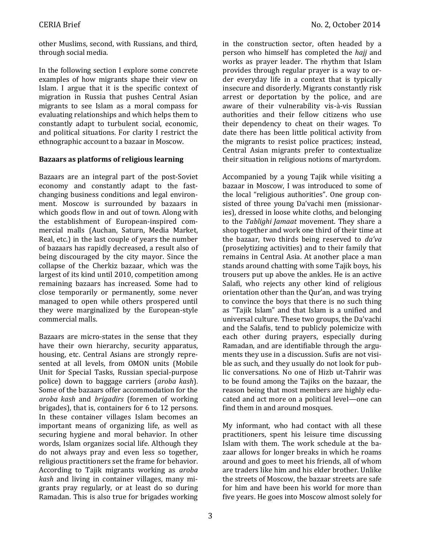other Muslims, second, with Russians, and third, through social media.

In the following section I explore some concrete examples of how migrants shape their view on Islam. I argue that it is the specific context of migration in Russia that pushes Central Asian migrants to see Islam as a moral compass for evaluating relationships and which helps them to constantly adapt to turbulent social, economic, and political situations. For clarity I restrict the ethnographic account to a bazaar in Moscow.

#### **Bazaars as platforms of religious learning**

Bazaars are an integral part of the post-Soviet economy and constantly adapt to the fastchanging business conditions and legal environment. Moscow is surrounded by bazaars in which goods flow in and out of town. Along with the establishment of European-inspired commercial malls (Auchan, Saturn, Media Market, Real, etc.) in the last couple of years the number of bazaars has rapidly decreased, a result also of being discouraged by the city mayor. Since the collapse of the Cherkiz bazaar, which was the largest of its kind until 2010, competition among remaining bazaars has increased. Some had to close temporarily or permanently, some never managed to open while others prospered until they were marginalized by the European-style commercial malls.

Bazaars are micro-states in the sense that they have their own hierarchy, security apparatus, housing, etc. Central Asians are strongly represented at all levels, from OMON units (Mobile Unit for Special Tasks, Russian special-purpose police) down to baggage carriers (*aroba kash*). Some of the bazaars offer accommodation for the *aroba kash* and *brigadirs* (foremen of working brigades), that is, containers for 6 to 12 persons. In these container villages Islam becomes an important means of organizing life, as well as securing hygiene and moral behavior. In other words, Islam organizes social life. Although they do not always pray and even less so together, religious practitioners set the frame for behavior. According to Tajik migrants working as *aroba kash* and living in container villages, many migrants pray regularly, or at least do so during Ramadan. This is also true for brigades working in the construction sector, often headed by a person who himself has completed the *hajj* and works as prayer leader. The rhythm that Islam provides through regular prayer is a way to order everyday life in a context that is typically insecure and disorderly. Migrants constantly risk arrest or deportation by the police, and are aware of their vulnerability vis-à-vis Russian authorities and their fellow citizens who use their dependency to cheat on their wages. To date there has been little political activity from the migrants to resist police practices; instead, Central Asian migrants prefer to contextualize their situation in religious notions of martyrdom.

Accompanied by a young Tajik while visiting a bazaar in Moscow, I was introduced to some of the local "religious authorities". One group consisted of three young Da'vachi men (missionaries), dressed in loose white cloths, and belonging to the *Tablighi Jamaat* movement. They share a shop together and work one third of their time at the bazaar, two thirds being reserved to *da'va* (proselytizing activities) and to their family that remains in Central Asia. At another place a man stands around chatting with some Tajik boys, his trousers put up above the ankles. He is an active Salafi, who rejects any other kind of religious orientation other than the Qur'an, and was trying to convince the boys that there is no such thing as "Tajik Islam" and that Islam is a unified and universal culture. These two groups, the Da'vachi and the Salafis, tend to publicly polemicize with each other during prayers, especially during Ramadan, and are identifiable through the arguments they use in a discussion. Sufis are not visible as such, and they usually do not look for public conversations. No one of Hizb ut-Tahrir was to be found among the Tajiks on the bazaar, the reason being that most members are highly educated and act more on a political level—one can find them in and around mosques.

My informant, who had contact with all these practitioners, spent his leisure time discussing Islam with them. The work schedule at the bazaar allows for longer breaks in which he roams around and goes to meet his friends, all of whom are traders like him and his elder brother. Unlike the streets of Moscow, the bazaar streets are safe for him and have been his world for more than five years. He goes into Moscow almost solely for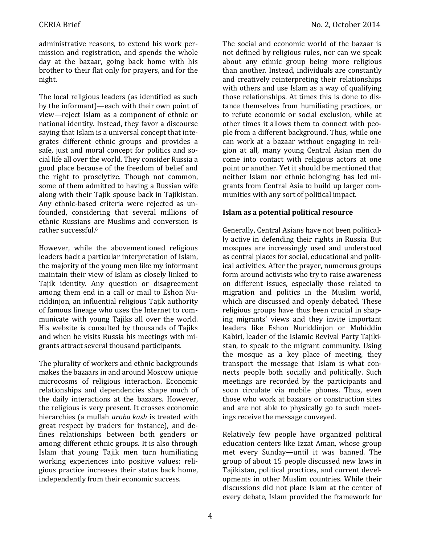administrative reasons, to extend his work permission and registration, and spends the whole day at the bazaar, going back home with his brother to their flat only for prayers, and for the night.

The local religious leaders (as identified as such by the informant)—each with their own point of view—reject Islam as a component of ethnic or national identity. Instead, they favor a discourse saying that Islam is a universal concept that integrates different ethnic groups and provides a safe, just and moral concept for politics and social life all over the world. They consider Russia a good place because of the freedom of belief and the right to proselytize. Though not common, some of them admitted to having a Russian wife along with their Tajik spouse back in Tajikistan. Any ethnic-based criteria were rejected as unfounded, considering that several millions of ethnic Russians are Muslims and conversion is rather successful.<sup>6</sup>

However, while the abovementioned religious leaders back a particular interpretation of Islam, the majority of the young men like my informant maintain their view of Islam as closely linked to Tajik identity. Any question or disagreement among them end in a call or mail to Eshon Nuriddinjon, an influential religious Tajik authority of famous lineage who uses the Internet to communicate with young Tajiks all over the world. His website is consulted by thousands of Tajiks and when he visits Russia his meetings with migrants attract several thousand participants.

The plurality of workers and ethnic backgrounds makes the bazaars in and around Moscow unique microcosms of religious interaction. Economic relationships and dependencies shape much of the daily interactions at the bazaars. However, the religious is very present. It crosses economic hierarchies (a mullah *aroba kash* is treated with great respect by traders for instance), and defines relationships between both genders or among different ethnic groups. It is also through Islam that young Tajik men turn humiliating working experiences into positive values: religious practice increases their status back home, independently from their economic success.

The social and economic world of the bazaar is not defined by religious rules, nor can we speak about any ethnic group being more religious than another. Instead, individuals are constantly and creatively reinterpreting their relationships with others and use Islam as a way of qualifying those relationships. At times this is done to distance themselves from humiliating practices, or to refute economic or social exclusion, while at other times it allows them to connect with people from a different background. Thus, while one can work at a bazaar without engaging in religion at all, many young Central Asian men do come into contact with religious actors at one point or another. Yet it should be mentioned that neither Islam nor ethnic belonging has led migrants from Central Asia to build up larger communities with any sort of political impact.

#### **Islam as a potential political resource**

Generally, Central Asians have not been politically active in defending their rights in Russia. But mosques are increasingly used and understood as central places for social, educational and political activities. After the prayer, numerous groups form around activists who try to raise awareness on different issues, especially those related to migration and politics in the Muslim world, which are discussed and openly debated. These religious groups have thus been crucial in shaping migrants' views and they invite important leaders like Eshon Nuriddinjon or Muhiddin Kabiri, leader of the Islamic Revival Party Tajikistan, to speak to the migrant community. Using the mosque as a key place of meeting, they transport the message that Islam is what connects people both socially and politically. Such meetings are recorded by the participants and soon circulate via mobile phones. Thus, even those who work at bazaars or construction sites and are not able to physically go to such meetings receive the message conveyed.

Relatively few people have organized political education centers like Izzat Aman, whose group met every Sunday—until it was banned. The group of about 15 people discussed new laws in Tajikistan, political practices, and current developments in other Muslim countries. While their discussions did not place Islam at the center of every debate, Islam provided the framework for